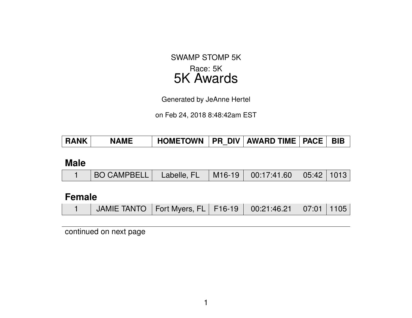## SWAMP STOMP 5K Race: 5K 5K Awards

Generated by JeAnne Hertel

on Feb 24, 2018 8:48:42am EST

| <b>RANK</b> | <b>NAME</b> | │ HOMETOWN │PR DIV│AWARD TIME│PACE│ BIB |  |  |  |  |
|-------------|-------------|-----------------------------------------|--|--|--|--|
|-------------|-------------|-----------------------------------------|--|--|--|--|

#### **Male**

|  | BO CAMPBELL   Labelle, FL   M16-19   00:17:41.60   05:42   1013 |  |  |  |  |  |
|--|-----------------------------------------------------------------|--|--|--|--|--|
|--|-----------------------------------------------------------------|--|--|--|--|--|

### **Female**

|  | JAMIE TANTO   Fort Myers, FL   F16-19   00:21:46.21   07:01   1105 |  |  |  |  |  |
|--|--------------------------------------------------------------------|--|--|--|--|--|
|--|--------------------------------------------------------------------|--|--|--|--|--|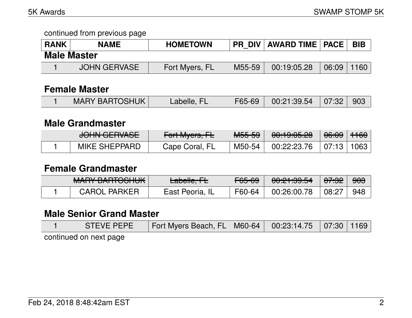continued from previous page

| <b>RANK</b>        | <b>NAME</b>  | <b>HOMETOWN</b> | <b>PR DIV</b> | <b>AWARD TIME   PACE  </b> |       | <b>BIB</b> |  |  |  |
|--------------------|--------------|-----------------|---------------|----------------------------|-------|------------|--|--|--|
| <b>Male Master</b> |              |                 |               |                            |       |            |  |  |  |
|                    | JOHN GERVASE | Fort Myers, FL  | M55-59        | 00:19:05.28                | 06:09 | 160        |  |  |  |

#### **Female Master**

|  | <b>MARY BARTOSHUK</b> | Labelle, FL |  | F65-69 00:21:39.54 07:32 903 |  |  |
|--|-----------------------|-------------|--|------------------------------|--|--|
|--|-----------------------|-------------|--|------------------------------|--|--|

### **Male Grandmaster**

| <del>JUHN ULHVAJE</del> | $\Gamma$<br>$T$ UITIVIYUIS, ITE | MEEE<br>᠊ᠠᡨᡠᠣᡃᠣᠣ | $0.1000$ and $0.00$<br><del>00.13.00.20</del> | <del>06:09</del>       | <del>1160</del> |
|-------------------------|---------------------------------|------------------|-----------------------------------------------|------------------------|-----------------|
| <b>MIKE SHEPPARD</b>    | Cape Coral, FL                  | M50-54           | 00:22:23.76                                   | $\pm$ 07:13 $^{\circ}$ | 1063            |

### **Female Grandmaster**

| $MANDV$ $DMDTOMIIII$<br><b>MALLEDANTOOHUN</b> | للعام والمطم<br>Labelle, TE | $CCE$ $CQ$<br>᠇᠊ᡂ᠊ᡂ | 0.01.00.54<br>00. <del>CT.00.04</del> | <del>07:32</del>   | <del>903</del> |
|-----------------------------------------------|-----------------------------|---------------------|---------------------------------------|--------------------|----------------|
| <b>CAROL PARKER</b>                           | East Peoria, IL             | F60-64              | 00:26:00.78                           | $\overline{08:27}$ | 948            |

## **Male Senior Grand Master**

| STEVE PEPE             | Fort Myers Beach, FL   M60-64   00:23:14.75   07:30   1169 |  |  |  |  |  |  |  |  |
|------------------------|------------------------------------------------------------|--|--|--|--|--|--|--|--|
| continued on next nage |                                                            |  |  |  |  |  |  |  |  |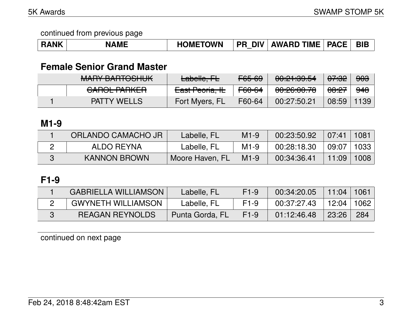| <b>RANK</b> | <b>NAME</b> | <b>HOMETOWN</b> | <b>DIV</b><br><b>PR</b> | <b>AWARD TIME   PACE</b> |  | <b>BIB</b> |
|-------------|-------------|-----------------|-------------------------|--------------------------|--|------------|
|-------------|-------------|-----------------|-------------------------|--------------------------|--|------------|

## **Female Senior Grand Master**

| MADY DADTOOLILIIZ<br><u>MALLE DALITOOHUK</u>     | Labelle, FL     | F65-69 | 0.01.00.54<br><del>൜ഺഺ൸൷</del>               | <del>07:32</del> | <del>903</del> |
|--------------------------------------------------|-----------------|--------|----------------------------------------------|------------------|----------------|
| <u>AADAL DADIZED</u><br><del>UNIULI NIILII</del> | East Peoria, IL | F60-64 | <u>00.00.00.70</u><br><del>uu.cu.uu.ru</del> | <del>08:27</del> | <del>948</del> |
| <b>PATTY WELLS</b>                               | Fort Myers, FL  | F60-64 | 00:27:50.21                                  | 08:59            | 1139           |

### **M1-9**

| ORLANDO CAMACHO JR  | Labelle, FL     | $M1-9$ | 00:23:50.92 | $\sqrt{07:41}$ | 1081 |
|---------------------|-----------------|--------|-------------|----------------|------|
| ALDO REYNA          | Labelle, FL     | $M1-9$ | 00:28:18.30 | 09:07          | 1033 |
| <b>KANNON BROWN</b> | Moore Haven, FL | $M1-9$ | 00:34:36.41 | 11:09          | 1008 |

# **F1-9**

| <b>GABRIELLA WILLIAMSON</b> | Labelle, FL     | $F1-9$ | 00:34:20.05 | 11:04   | 1061   |
|-----------------------------|-----------------|--------|-------------|---------|--------|
| <b>GWYNETH WILLIAMSON</b>   | Labelle, FL     | $F1-9$ | 00:37:27.43 | 12:04 l | 1062 l |
| <b>REAGAN REYNOLDS</b>      | Punta Gorda, FL | $F1-9$ | 01:12:46.48 | 23:26   | 284    |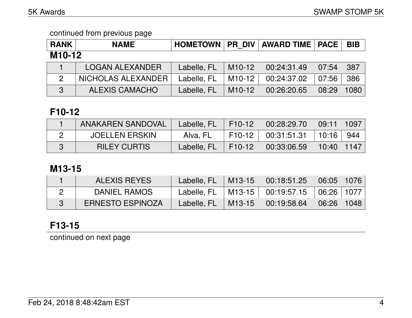| <b>RANK</b>         | <b>NAME</b>            |             |          | HOMETOWN   PR DIV   AWARD TIME   PACE |       | <b>BIB</b> |  |  |
|---------------------|------------------------|-------------|----------|---------------------------------------|-------|------------|--|--|
| M <sub>10</sub> -12 |                        |             |          |                                       |       |            |  |  |
|                     | <b>LOGAN ALEXANDER</b> | Labelle, FL | $M10-12$ | 00:24:31.49                           | 07:54 | 387        |  |  |
| $\overline{2}$      | NICHOLAS ALEXANDER     | Labelle, FL | M10-12   | 00:24:37.02                           | 07:56 | 386        |  |  |
| 3                   | <b>ALEXIS CAMACHO</b>  | Labelle, FL | $M10-12$ | 00:26:20.65                           | 08:29 | 1080       |  |  |

### **F10-12**

| <b>ANAKAREN SANDOVAL</b> | Labelle, FL | F10-12                         | $00:28:29.70$ 09:11 1097    |            |     |
|--------------------------|-------------|--------------------------------|-----------------------------|------------|-----|
| <b>JOELLEN ERSKIN</b>    | Alva, FL    | $F10-12$                       | $\perp$ 00:31:51.31   10:16 |            | 944 |
| <b>RILEY CURTIS</b>      | Labelle, FL | $\parallel$ F10-12 $\parallel$ | 00:33:06.59                 | 10:40 1147 |     |

### **M13-15**

| <b>ALEXIS REYES</b>     | Labelle, $FL$   M13-15 |                      | $\mid$ 00:18:51.25 $\mid$ 06:05 $\mid$ 1076 $\mid$ |                                 |  |
|-------------------------|------------------------|----------------------|----------------------------------------------------|---------------------------------|--|
| DANIEL RAMOS            |                        |                      | Labelle, FL   M13-15   00:19:57.15   06:26   1077  |                                 |  |
| <b>ERNESTO ESPINOZA</b> | Labelle, FL            | $\mid$ M13-15 $\mid$ | 00:19:58.64                                        | $\mid$ 06:26 $\mid$ 1048 $\mid$ |  |

# **F13-15**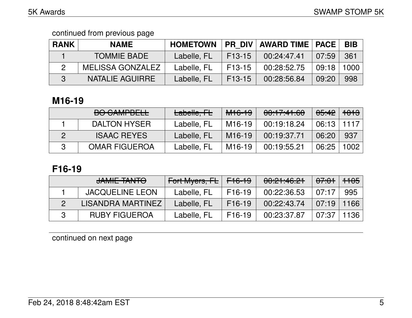| <b>RANK</b> | <b>NAME</b>        | <b>HOMETOWN</b> |          | <b>PR DIV   AWARD TIME   PACE  </b> |                | <b>BIB</b> |
|-------------|--------------------|-----------------|----------|-------------------------------------|----------------|------------|
|             | <b>TOMMIE BADE</b> | Labelle, FL     | $F13-15$ | 00:24:47.41                         | 07:59          | 361        |
|             | MELISSA GONZALEZ   | Labelle, FL     | F13-15   | 00:28:52.75                         | $09:18$   1000 |            |
|             | NATALIE AGUIRRE    | Labelle, FL     | F13-15   | 00:28:56.84                         | 09:20          | 998        |

## **M16-19**

| <b>BO CAMPBELL</b>   | Labelle, FL | <del>M16-19</del>   | 00:17:41.60 | <del>85:42</del>   <del>1013</del> |      |
|----------------------|-------------|---------------------|-------------|------------------------------------|------|
| <b>DALTON HYSER</b>  | Labelle, FL | M <sub>16</sub> -19 | 00:19:18.24 | $06:13$   1117                     |      |
| <b>ISAAC REYES</b>   | Labelle, FL | M <sub>16</sub> -19 | 00:19:37.71 | 06:20                              | 937  |
| <b>OMAR FIGUEROA</b> | Labelle, FL | M <sub>16</sub> -19 | 00:19:55.21 | 06:25                              | 1002 |

# **F16-19**

| JAMIE TANTO            | Fort Myers, $F_{\text{E}}$ F16-19 |                     | 00:21:46.21 | <del>07:01</del> I | $ +105 $ |
|------------------------|-----------------------------------|---------------------|-------------|--------------------|----------|
| <b>JACQUELINE LEON</b> | Labelle, FL                       | F <sub>16</sub> -19 | 00:22:36.53 | 07:17              | 995      |
| LISANDRA MARTINEZ      | Labelle, FL                       | $F16-19$            | 00:22:43.74 | $07:19$   1166     |          |
| <b>RUBY FIGUEROA</b>   | Labelle, FL                       | F <sub>16</sub> -19 | 00:23:37.87 | 07:37              | 1136     |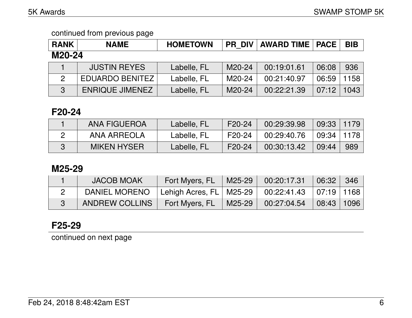| <b>RANK</b>    | <b>NAME</b>            | <b>HOMETOWN</b> | <b>PR DIV</b> | <b>AWARD TIME   PACE</b> |       | <b>BIB</b> |  |  |
|----------------|------------------------|-----------------|---------------|--------------------------|-------|------------|--|--|
| M20-24         |                        |                 |               |                          |       |            |  |  |
|                | <b>JUSTIN REYES</b>    | Labelle, FL     | M20-24        | 00:19:01.61              | 06:08 | 936        |  |  |
| $\overline{2}$ | <b>EDUARDO BENITEZ</b> | Labelle, FL     | M20-24        | 00:21:40.97              | 06:59 | 1158       |  |  |
| $\mathbf{3}$   | <b>ENRIQUE JIMENEZ</b> | Labelle, FL     | M20-24        | 00:22:21.39              | 07:12 | 1043       |  |  |

### **F20-24**

| <b>ANA FIGUEROA</b> | Labelle, FL | F20-24 | 00:29:39.98 | 09:33   1179 |     |
|---------------------|-------------|--------|-------------|--------------|-----|
| ANA ARREOLA         | Labelle, FL | F20-24 | 00:29:40.76 | 09:34   1178 |     |
| <b>MIKEN HYSER</b>  | Labelle, FL | F20-24 | 00:30:13.42 | 09:44        | 989 |

### **M25-29**

| <b>JACOB MOAK</b>                                       | Fort Myers, FL   M25-29   \ |        | 00:20:17.31 | 06:32                           | 346 |
|---------------------------------------------------------|-----------------------------|--------|-------------|---------------------------------|-----|
| DANIEL MORENO   Lehigh Acres, FL   M25-29   00:22:41.43 |                             |        |             | $\mid$ 07:19 $\mid$ 1168 $\mid$ |     |
| ANDREW COLLINS                                          | Fort Myers, FL              | M25-29 | 00:27:04.54 | $08:43$   1096                  |     |

## **F25-29**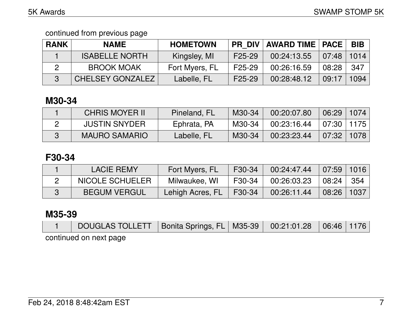| <b>RANK</b> | <b>NAME</b>             | <b>HOMETOWN</b> |                     | <b>PR DIV   AWARD TIME   PACE  </b> |              | <b>BIB</b> |
|-------------|-------------------------|-----------------|---------------------|-------------------------------------|--------------|------------|
|             | <b>ISABELLE NORTH</b>   | Kingsley, MI    | F <sub>25</sub> -29 | 00:24:13.55                         | $07:48$ 1014 |            |
|             | <b>BROOK MOAK</b>       | Fort Myers, FL  | F25-29              | 00:26:16.59                         | 08:28        | 347        |
|             | <b>CHELSEY GONZALEZ</b> | Labelle, FL     | F <sub>25</sub> -29 | 00:28:48.12                         | 09:17        | 1094       |

## **M30-34**

| <b>CHRIS MOYER II</b> | Pineland, FL | M30-34 | 00:20:07.80 | $06:29$   1074 |  |
|-----------------------|--------------|--------|-------------|----------------|--|
| <b>JUSTIN SNYDER</b>  | Ephrata, PA  | M30-34 | 00:23:16.44 | 07:30   1175   |  |
| <b>MAURO SAMARIO</b>  | Labelle, FL  | M30-34 | 00:23:23.44 | 07:32   1078   |  |

## **F30-34**

| <b>LACIE REMY</b>   | Fort Myers, FL   | F30-34 | $00:24:47.44$ 07:59 1016 |                                 |  |
|---------------------|------------------|--------|--------------------------|---------------------------------|--|
| NICOLE SCHUELER     | Milwaukee, WI    | F30-34 | 00:26:03.23              | 08:24 354                       |  |
| <b>BEGUM VERGUL</b> | Lehigh Acres, FL | F30-34 | 00:26:11.44              | $\mid$ 08:26 $\mid$ 1037 $\mid$ |  |

## **M35-39**

| DOUGLAS TOLLETT   Bonita Springs, FL   M35-39   00:21:01.28   06:46   1176 |  |  |  |
|----------------------------------------------------------------------------|--|--|--|
| continued on next page                                                     |  |  |  |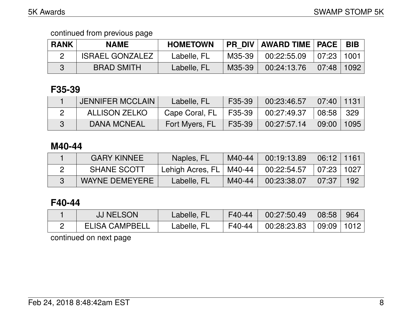| <b>RANK</b> | <b>NAME</b>            | <b>HOMETOWN</b> |        | <b>PR DIV AWARD TIME   PACE  </b> |              | <b>BIB</b> |
|-------------|------------------------|-----------------|--------|-----------------------------------|--------------|------------|
|             | <b>ISRAEL GONZALEZ</b> | Labelle, FL     | M35-39 | 00:22:55.09                       | 07:23 1001   |            |
|             | <b>BRAD SMITH</b>      | Labelle, FL     | M35-39 | 00:24:13.76                       | 07:48   1092 |            |

## **F35-39**

| JENNIFER MCCLAIN   | Labelle, FL                                         | F35-39               | $\mid$ 00:23:46.57 $\mid$ 07:40 $\mid$ 1131 $\mid$ |                                    |  |
|--------------------|-----------------------------------------------------|----------------------|----------------------------------------------------|------------------------------------|--|
| ALLISON ZELKO      | Cape Coral, FL   F35-39   00:27:49.37   08:58   329 |                      |                                                    |                                    |  |
| <b>DANA MCNEAL</b> | Fort Myers, FL                                      | $\mid$ F35-39 $\mid$ | 00:27:57.14                                        | $\vert$ 09:00 $\vert$ 1095 $\vert$ |  |

### **M40-44**

| <b>GARY KINNEE</b>    | Naples, FL                | M40-44 | 00:19:13.89 | $06:12$   1161 |     |
|-----------------------|---------------------------|--------|-------------|----------------|-----|
| <b>SHANE SCOTT</b>    | Lehigh Acres, FL   M40-44 |        | 00:22:54.57 | 07:23 1027     |     |
| <b>WAYNE DEMEYERE</b> | Labelle, FL               | M40-44 | 00:23:38.07 | 07:37          | 192 |

### **F40-44**

| <b>JJ NELSON</b>      | Labelle, FL | F40-44 | 00:27:50.49 | $\vert$ 08:58 $\vert$ 964 |  |
|-----------------------|-------------|--------|-------------|---------------------------|--|
| <b>ELISA CAMPBELL</b> | Labelle, FL | F40-44 | 00:28:23.83 | 09:09 1012                |  |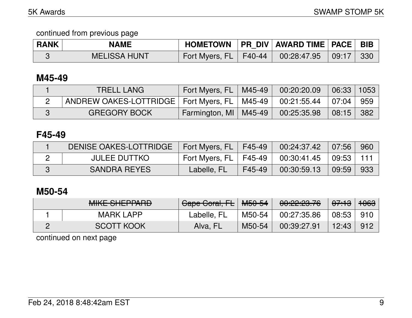| <b>RANK</b> | <b>NAME</b>         | HOMETOWN   PR DIV   AWARD TIME   PACE   BIB         |  |  |
|-------------|---------------------|-----------------------------------------------------|--|--|
|             | <b>MELISSA HUNT</b> | Fort Myers, FL   F40-44   00:28:47.95   09:17   330 |  |  |

### **M45-49**

| <b>TRELL LANG</b>                                                            | Fort Myers, $FL$   M45-49          | 00:20:20.09 | $06:33$   1053 |  |
|------------------------------------------------------------------------------|------------------------------------|-------------|----------------|--|
| ANDREW OAKES-LOTTRIDGE   Fort Myers, FL   M45-49   00:21:55.44   07:04   959 |                                    |             |                |  |
| <b>GREGORY BOCK</b>                                                          | <b>Farmington, MI   M45-49   \</b> | 00:25:35.98 | 08:15 382      |  |

### **F45-49**

| DENISE OAKES-LOTTRIDGE | Fort Myers, FL   F45-49                                  |        | $00:24:37.42$ 07:56                      |       | .960 |
|------------------------|----------------------------------------------------------|--------|------------------------------------------|-------|------|
| <b>JULEE DUTTKO</b>    | $^{\circ}$ Fort Myers, FL $\parallel$ F45-49 $\parallel$ |        | $00:30:41.45$ $\mid 09:53 \mid 111 \mid$ |       |      |
| <b>SANDRA REYES</b>    | Labelle, FL                                              | F45-49 | 00:30:59.13                              | 09:59 | 933  |

### **M50-54**

| <u>MILE OLIEDDADD</u><br>MINE OTIET LAND | Cape Coral, FL   M50-54 |        | <u>an.go.go 70</u><br><u>UU.CZ.CJ.TU</u> | <del>07:13</del> | ഛഛ<br>᠇ᠦᡂ |
|------------------------------------------|-------------------------|--------|------------------------------------------|------------------|-----------|
| <b>MARK LAPP</b>                         | Labelle, FL             | M50-54 | 00:27:35.86                              | 08:53            | 910       |
| <b>SCOTT KOOK</b>                        | Alva, FL                | M50-54 | 00:39:27.91                              | 12:43            | 912       |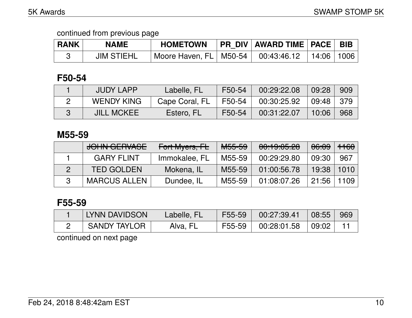| <b>RANK</b> | NAME              | <b>HOMETOWN</b>                        | PR DIV   AWARD TIME   PACE   BIB |              |  |
|-------------|-------------------|----------------------------------------|----------------------------------|--------------|--|
|             | <b>JIM STIEHL</b> | Moore Haven, FL   M50-54   00:43:46.12 |                                  | 14:06   1006 |  |

### **F50-54**

| <b>JUDY LAPP</b>  | Labelle, FL    | F50-54   | 00:29:22.08 | $\big $ 09:28 | 909 |
|-------------------|----------------|----------|-------------|---------------|-----|
| <b>WENDY KING</b> | Cape Coral, FL | $F50-54$ | 00:30:25.92 | $09:48$ 379   |     |
| <b>JILL MCKEE</b> | Estero, FL     | F50-54   | 00:31:22.07 | 10:06         | 968 |

### **M55-59**

| JOHN GERVASE        | Fort Myers, FL | <b>M55-59</b> | 00:19:05.28 | <del>06:09</del> | $\parallel$ <del>1160</del> $\parallel$ |
|---------------------|----------------|---------------|-------------|------------------|-----------------------------------------|
| <b>GARY FLINT</b>   | Immokalee, FL  | M55-59        | 00:29:29.80 | 09:30            | 967                                     |
| <b>TED GOLDEN</b>   | Mokena, IL     | M55-59        | 01:00:56.78 | 19:38            | 1010                                    |
| <b>MARCUS ALLEN</b> | Dundee, IL     | M55-59        | 01:08:07.26 | 21:56            | 1109                                    |

# **F55-59**

| LYNN DAVIDSON       | Labelle, FL | F55-59   | 00:27:39.41 | $\vert$ 08:55 | 969 |
|---------------------|-------------|----------|-------------|---------------|-----|
| <b>SANDY TAYLOR</b> | Alva, FL    | $F55-59$ | 00:28:01.58 | 09:02         |     |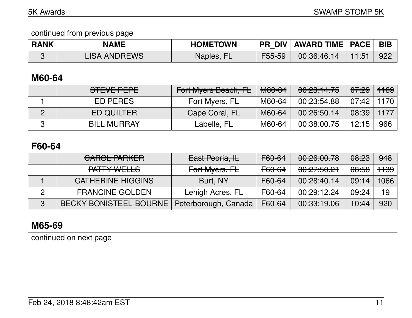| <b>RANK</b> | <b>NAME</b>         | <b>HOMETOWN</b> | <b>PR DIV</b> | <b>AWARD TIME   PACE   BIB</b> |     |
|-------------|---------------------|-----------------|---------------|--------------------------------|-----|
|             | <b>LISA ANDREWS</b> | Naples, FL      | F55-59        | 00:36:46.14                    | 922 |

### **M60-64**

| STEVE PEPE         | Fort Myers Beach, FL | <del>M60-64</del> | 00:23:14.75 | <del>07:29</del> | <del>1169</del> |
|--------------------|----------------------|-------------------|-------------|------------------|-----------------|
| ED PERES           | Fort Myers, FL       | M60-64            | 00:23:54.88 | 07:42   1170     |                 |
| <b>ED QUILTER</b>  | Cape Coral, FL       | M60-64            | 00:26:50.14 | 08:39            | 1177            |
| <b>BILL MURRAY</b> | Labelle, FL          | M60-64            | 00:38:00.75 | 12:15            | 966             |

### **F60-64**

|   | <u>AIDAL DIDIZED</u><br><u>VANVET ANISEN</u> | East Peoria, IL      | F60-64 | 00:26:00.78             | <del>08:23</del> | 948             |
|---|----------------------------------------------|----------------------|--------|-------------------------|------------------|-----------------|
|   | <u>DATTV WELL C</u><br><u>LALIT WEELO</u>    | Fort Myers, FL       | F60-64 | 0.075001<br>00.47.00.41 | <del>08:58</del> | <del>1139</del> |
|   | <b>CATHERINE HIGGINS</b>                     | Burt, NY             | F60-64 | 00:28:40.14             | 09:14            | 1066            |
| っ | <b>FRANCINE GOLDEN</b>                       | Lehigh Acres, FL     | F60-64 | 00:29:12.24             | 09:24            | 19              |
| 3 | <b>BECKY BONISTEEL-BOURNE</b>                | Peterborough, Canada | F60-64 | 00:33:19.06             | 10:44            | 920             |

# **M65-69**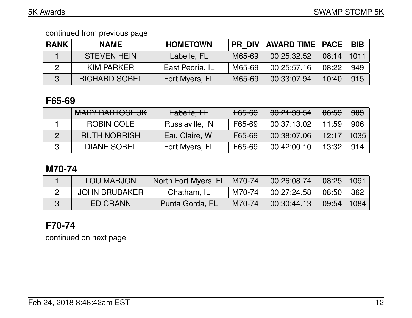| <b>RANK</b> | <b>NAME</b>          | <b>HOMETOWN</b> |        | <b>PR DIV   AWARD TIME   PACE  </b> |       | <b>BIB</b> |
|-------------|----------------------|-----------------|--------|-------------------------------------|-------|------------|
|             | <b>STEVEN HEIN</b>   | Labelle, FL     | M65-69 | 00:25:32.52                         | 08:14 | 1011       |
|             | KIM PARKER           | East Peoria, IL | M65-69 | 00:25:57.16                         | 08:22 | 949        |
|             | <b>RICHARD SOBEL</b> | Fort Myers, FL  | M65-69 | 00:33:07.94                         | 10:40 | 915        |

## **F65-69**

| <b>MARY BARTOSHUK</b> | Labelle, FL     | <del>F65-69</del> | 00:21:39.54 | 06:59 | <del>903</del> |
|-----------------------|-----------------|-------------------|-------------|-------|----------------|
| ROBIN COLE            | Russiaville, IN | F65-69            | 00:37:13.02 | 11:59 | 906            |
| <b>RUTH NORRISH</b>   | Eau Claire, WI  | F65-69            | 00:38:07.06 | 12:17 | 1035           |
| <b>DIANE SOBEL</b>    | Fort Myers, FL  | F65-69            | 00:42:00.10 | 13:32 | 914            |

## **M70-74**

| <b>LOU MARJON</b> | North Fort Myers, FL   M70-74 |          | 00:26:08.74 | $\vert$ 08:25   1091  |       |
|-------------------|-------------------------------|----------|-------------|-----------------------|-------|
| JOHN BRUBAKER     | Chatham, IL                   | M70-74 L | 00:27:24.58 | $\vert$ 08:50 $\vert$ | ່ 362 |
| ED CRANN          | Punta Gorda, FL               | M70-74   | 00:30:44.13 | $\vert$ 09:54   1084  |       |

# **F70-74**